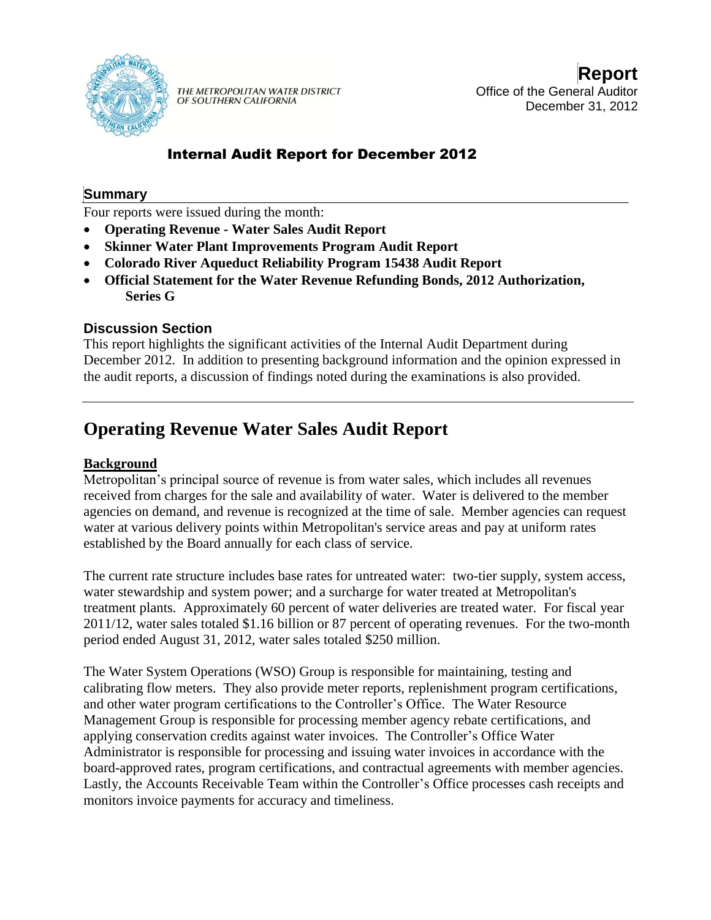

THE METROPOLITAN WATER DISTRICT OF SOUTHERN CALIFORNIA

**Report** Office of the General Auditor December 31, 2012

## Internal Audit Report for December 2012

## **Summary**

Four reports were issued during the month:

- **Operating Revenue - Water Sales Audit Report**
- **Skinner Water Plant Improvements Program Audit Report**
- **Colorado River Aqueduct Reliability Program 15438 Audit Report**
- **Official Statement for the Water Revenue Refunding Bonds, 2012 Authorization, Series G**

## **Discussion Section**

This report highlights the significant activities of the Internal Audit Department during December 2012. In addition to presenting background information and the opinion expressed in the audit reports, a discussion of findings noted during the examinations is also provided.

# **Operating Revenue Water Sales Audit Report**

## **Background**

Metropolitan's principal source of revenue is from water sales, which includes all revenues received from charges for the sale and availability of water. Water is delivered to the member agencies on demand, and revenue is recognized at the time of sale. Member agencies can request water at various delivery points within Metropolitan's service areas and pay at uniform rates established by the Board annually for each class of service.

The current rate structure includes base rates for untreated water: two-tier supply, system access, water stewardship and system power; and a surcharge for water treated at Metropolitan's treatment plants. Approximately 60 percent of water deliveries are treated water. For fiscal year 2011/12, water sales totaled \$1.16 billion or 87 percent of operating revenues. For the two-month period ended August 31, 2012, water sales totaled \$250 million.

The Water System Operations (WSO) Group is responsible for maintaining, testing and calibrating flow meters. They also provide meter reports, replenishment program certifications, and other water program certifications to the Controller's Office. The Water Resource Management Group is responsible for processing member agency rebate certifications, and applying conservation credits against water invoices. The Controller's Office Water Administrator is responsible for processing and issuing water invoices in accordance with the board-approved rates, program certifications, and contractual agreements with member agencies. Lastly, the Accounts Receivable Team within the Controller's Office processes cash receipts and monitors invoice payments for accuracy and timeliness.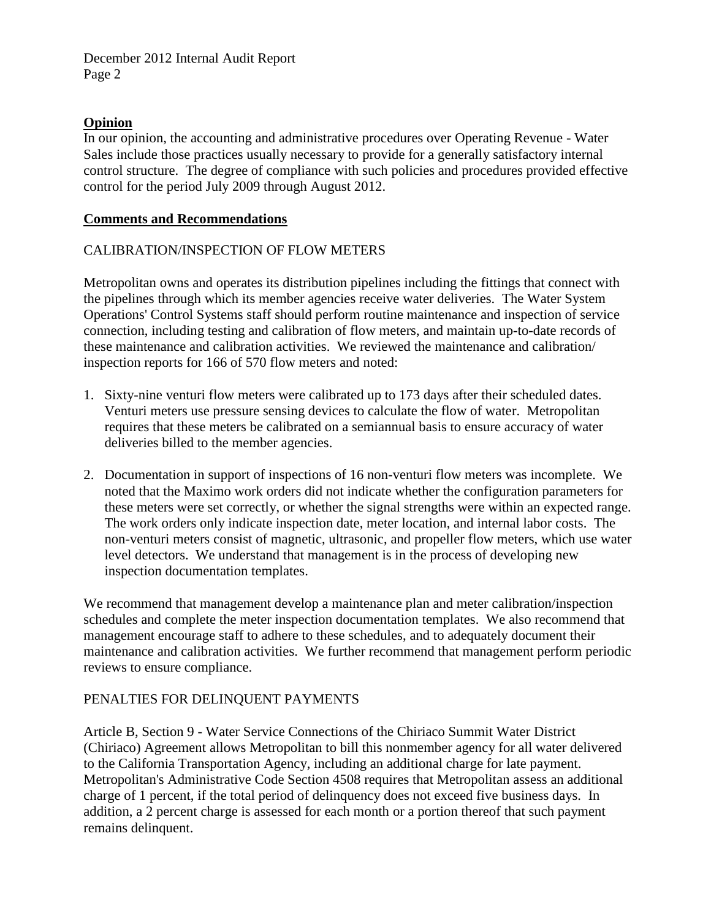### **Opinion**

In our opinion, the accounting and administrative procedures over Operating Revenue - Water Sales include those practices usually necessary to provide for a generally satisfactory internal control structure. The degree of compliance with such policies and procedures provided effective control for the period July 2009 through August 2012.

#### **Comments and Recommendations**

#### CALIBRATION/INSPECTION OF FLOW METERS

Metropolitan owns and operates its distribution pipelines including the fittings that connect with the pipelines through which its member agencies receive water deliveries. The Water System Operations' Control Systems staff should perform routine maintenance and inspection of service connection, including testing and calibration of flow meters, and maintain up-to-date records of these maintenance and calibration activities. We reviewed the maintenance and calibration/ inspection reports for 166 of 570 flow meters and noted:

- 1. Sixty-nine venturi flow meters were calibrated up to 173 days after their scheduled dates. Venturi meters use pressure sensing devices to calculate the flow of water. Metropolitan requires that these meters be calibrated on a semiannual basis to ensure accuracy of water deliveries billed to the member agencies.
- 2. Documentation in support of inspections of 16 non-venturi flow meters was incomplete. We noted that the Maximo work orders did not indicate whether the configuration parameters for these meters were set correctly, or whether the signal strengths were within an expected range. The work orders only indicate inspection date, meter location, and internal labor costs. The non-venturi meters consist of magnetic, ultrasonic, and propeller flow meters, which use water level detectors. We understand that management is in the process of developing new inspection documentation templates.

We recommend that management develop a maintenance plan and meter calibration/inspection schedules and complete the meter inspection documentation templates. We also recommend that management encourage staff to adhere to these schedules, and to adequately document their maintenance and calibration activities. We further recommend that management perform periodic reviews to ensure compliance.

#### PENALTIES FOR DELINQUENT PAYMENTS

Article B, Section 9 - Water Service Connections of the Chiriaco Summit Water District (Chiriaco) Agreement allows Metropolitan to bill this nonmember agency for all water delivered to the California Transportation Agency, including an additional charge for late payment. Metropolitan's Administrative Code Section 4508 requires that Metropolitan assess an additional charge of 1 percent, if the total period of delinquency does not exceed five business days. In addition, a 2 percent charge is assessed for each month or a portion thereof that such payment remains delinquent.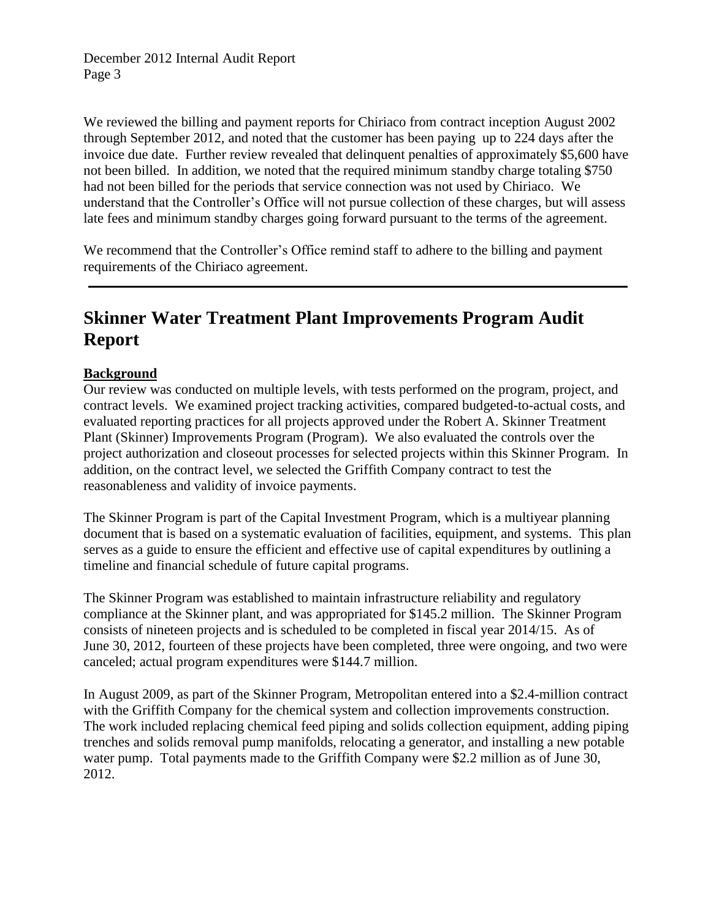We reviewed the billing and payment reports for Chiriaco from contract inception August 2002 through September 2012, and noted that the customer has been paying up to 224 days after the invoice due date. Further review revealed that delinquent penalties of approximately \$5,600 have not been billed. In addition, we noted that the required minimum standby charge totaling \$750 had not been billed for the periods that service connection was not used by Chiriaco. We understand that the Controller's Office will not pursue collection of these charges, but will assess late fees and minimum standby charges going forward pursuant to the terms of the agreement.

We recommend that the Controller's Office remind staff to adhere to the billing and payment requirements of the Chiriaco agreement.

# **Skinner Water Treatment Plant Improvements Program Audit Report**

## **Background**

Our review was conducted on multiple levels, with tests performed on the program, project, and contract levels. We examined project tracking activities, compared budgeted-to-actual costs, and evaluated reporting practices for all projects approved under the Robert A. Skinner Treatment Plant (Skinner) Improvements Program (Program). We also evaluated the controls over the project authorization and closeout processes for selected projects within this Skinner Program. In addition, on the contract level, we selected the Griffith Company contract to test the reasonableness and validity of invoice payments.

The Skinner Program is part of the Capital Investment Program, which is a multiyear planning document that is based on a systematic evaluation of facilities, equipment, and systems. This plan serves as a guide to ensure the efficient and effective use of capital expenditures by outlining a timeline and financial schedule of future capital programs.

The Skinner Program was established to maintain infrastructure reliability and regulatory compliance at the Skinner plant, and was appropriated for \$145.2 million. The Skinner Program consists of nineteen projects and is scheduled to be completed in fiscal year 2014/15. As of June 30, 2012, fourteen of these projects have been completed, three were ongoing, and two were canceled; actual program expenditures were \$144.7 million.

In August 2009, as part of the Skinner Program, Metropolitan entered into a \$2.4-million contract with the Griffith Company for the chemical system and collection improvements construction. The work included replacing chemical feed piping and solids collection equipment, adding piping trenches and solids removal pump manifolds, relocating a generator, and installing a new potable water pump. Total payments made to the Griffith Company were \$2.2 million as of June 30, 2012.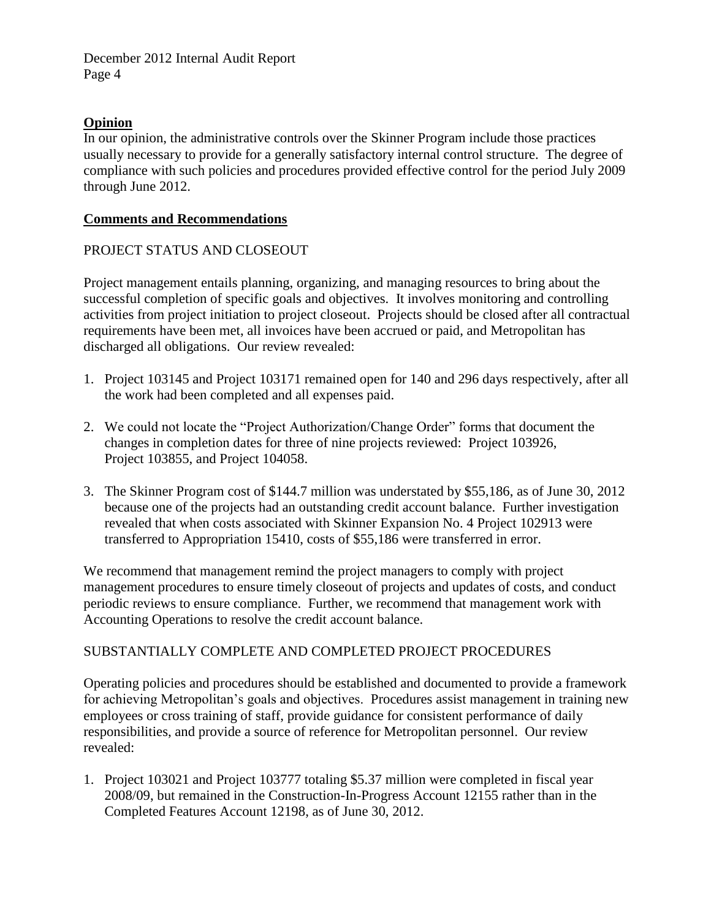## **Opinion**

In our opinion, the administrative controls over the Skinner Program include those practices usually necessary to provide for a generally satisfactory internal control structure. The degree of compliance with such policies and procedures provided effective control for the period July 2009 through June 2012.

### **Comments and Recommendations**

## PROJECT STATUS AND CLOSEOUT

Project management entails planning, organizing, and managing resources to bring about the successful completion of specific goals and objectives. It involves monitoring and controlling activities from project initiation to project closeout. Projects should be closed after all contractual requirements have been met, all invoices have been accrued or paid, and Metropolitan has discharged all obligations. Our review revealed:

- 1. Project 103145 and Project 103171 remained open for 140 and 296 days respectively, after all the work had been completed and all expenses paid.
- 2. We could not locate the "Project Authorization/Change Order" forms that document the changes in completion dates for three of nine projects reviewed: Project 103926, Project 103855, and Project 104058.
- 3. The Skinner Program cost of \$144.7 million was understated by \$55,186, as of June 30, 2012 because one of the projects had an outstanding credit account balance. Further investigation revealed that when costs associated with Skinner Expansion No. 4 Project 102913 were transferred to Appropriation 15410, costs of \$55,186 were transferred in error.

We recommend that management remind the project managers to comply with project management procedures to ensure timely closeout of projects and updates of costs, and conduct periodic reviews to ensure compliance. Further, we recommend that management work with Accounting Operations to resolve the credit account balance.

## SUBSTANTIALLY COMPLETE AND COMPLETED PROJECT PROCEDURES

Operating policies and procedures should be established and documented to provide a framework for achieving Metropolitan's goals and objectives. Procedures assist management in training new employees or cross training of staff, provide guidance for consistent performance of daily responsibilities, and provide a source of reference for Metropolitan personnel. Our review revealed:

1. Project 103021 and Project 103777 totaling \$5.37 million were completed in fiscal year 2008/09, but remained in the Construction-In-Progress Account 12155 rather than in the Completed Features Account 12198, as of June 30, 2012.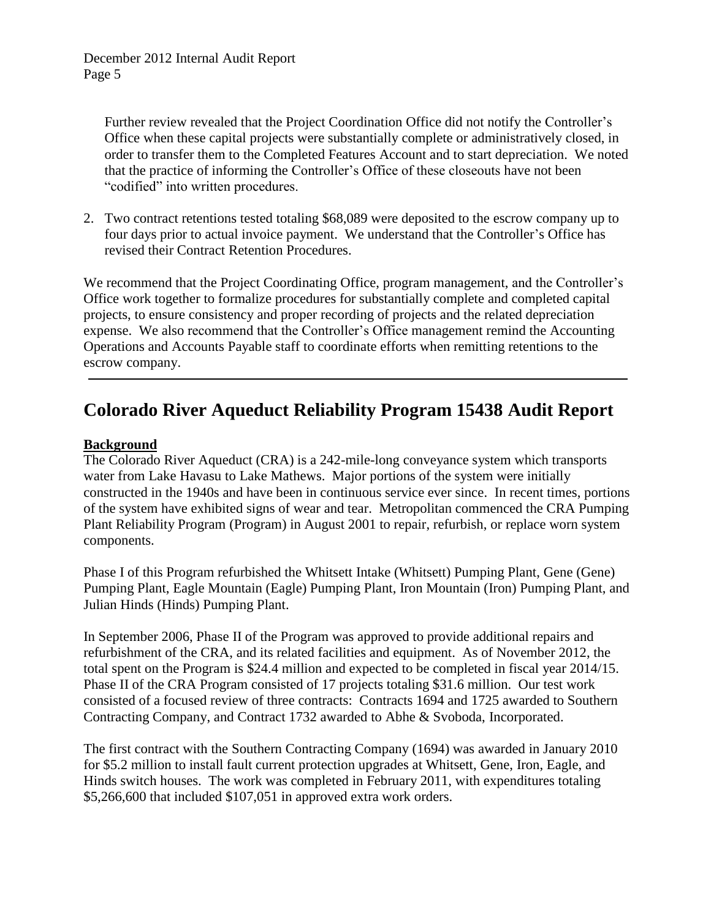Further review revealed that the Project Coordination Office did not notify the Controller's Office when these capital projects were substantially complete or administratively closed, in order to transfer them to the Completed Features Account and to start depreciation. We noted that the practice of informing the Controller's Office of these closeouts have not been "codified" into written procedures.

2. Two contract retentions tested totaling \$68,089 were deposited to the escrow company up to four days prior to actual invoice payment. We understand that the Controller's Office has revised their Contract Retention Procedures.

We recommend that the Project Coordinating Office, program management, and the Controller's Office work together to formalize procedures for substantially complete and completed capital projects, to ensure consistency and proper recording of projects and the related depreciation expense. We also recommend that the Controller's Office management remind the Accounting Operations and Accounts Payable staff to coordinate efforts when remitting retentions to the escrow company.

# **Colorado River Aqueduct Reliability Program 15438 Audit Report**

## **Background**

The Colorado River Aqueduct (CRA) is a 242-mile-long conveyance system which transports water from Lake Havasu to Lake Mathews. Major portions of the system were initially constructed in the 1940s and have been in continuous service ever since. In recent times, portions of the system have exhibited signs of wear and tear. Metropolitan commenced the CRA Pumping Plant Reliability Program (Program) in August 2001 to repair, refurbish, or replace worn system components.

Phase I of this Program refurbished the Whitsett Intake (Whitsett) Pumping Plant, Gene (Gene) Pumping Plant, Eagle Mountain (Eagle) Pumping Plant, Iron Mountain (Iron) Pumping Plant, and Julian Hinds (Hinds) Pumping Plant.

In September 2006, Phase II of the Program was approved to provide additional repairs and refurbishment of the CRA, and its related facilities and equipment. As of November 2012, the total spent on the Program is \$24.4 million and expected to be completed in fiscal year 2014/15. Phase II of the CRA Program consisted of 17 projects totaling \$31.6 million. Our test work consisted of a focused review of three contracts: Contracts 1694 and 1725 awarded to Southern Contracting Company, and Contract 1732 awarded to Abhe & Svoboda, Incorporated.

The first contract with the Southern Contracting Company (1694) was awarded in January 2010 for \$5.2 million to install fault current protection upgrades at Whitsett, Gene, Iron, Eagle, and Hinds switch houses. The work was completed in February 2011, with expenditures totaling \$5,266,600 that included \$107,051 in approved extra work orders.